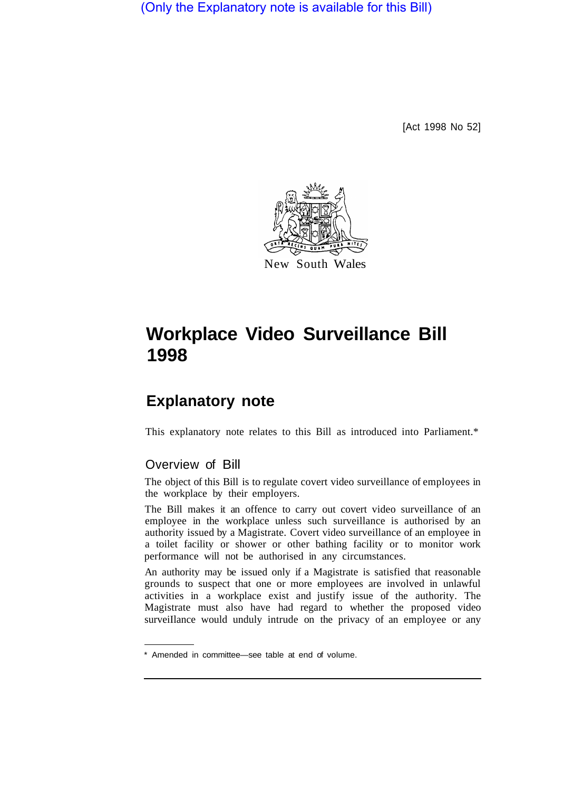(Only the Explanatory note is available for this Bill)

[Act 1998 No 52]



# **Workplace Video Surveillance Bill 1998**

# **Explanatory note**

This explanatory note relates to this Bill as introduced into Parliament.\*

### Overview of Bill

The object of this Bill is to regulate covert video surveillance of employees in the workplace by their employers.

The Bill makes it an offence to carry out covert video surveillance of an employee in the workplace unless such surveillance is authorised by an authority issued by a Magistrate. Covert video surveillance of an employee in a toilet facility or shower or other bathing facility or to monitor work performance will not be authorised in any circumstances.

An authority may be issued only if a Magistrate is satisfied that reasonable grounds to suspect that one or more employees are involved in unlawful activities in a workplace exist and justify issue of the authority. The Magistrate must also have had regard to whether the proposed video surveillance would unduly intrude on the privacy of an employee or any

<sup>\*</sup> Amended in committee—see table at end of volume.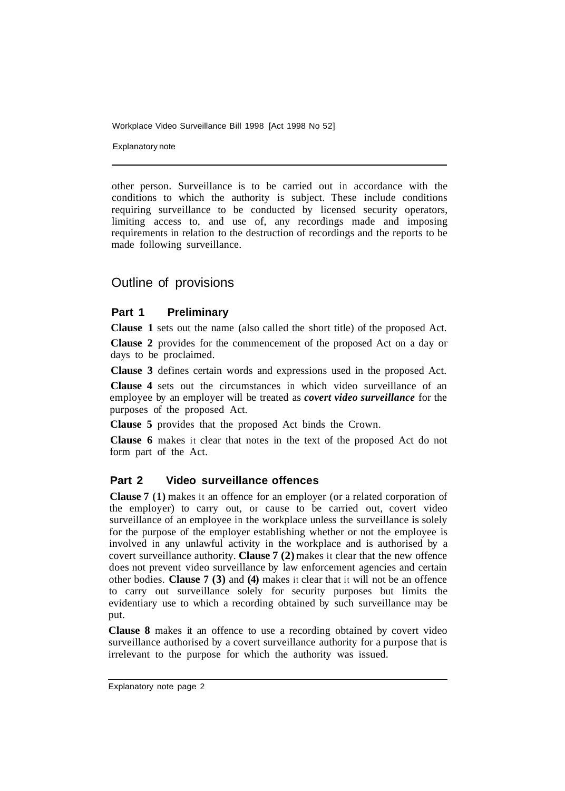Explanatory note

other person. Surveillance is to be carried out in accordance with the conditions to which the authority is subject. These include conditions requiring surveillance to be conducted by licensed security operators, limiting access to, and use of, any recordings made and imposing requirements in relation to the destruction of recordings and the reports to be made following surveillance.

## Outline of provisions

#### **Part 1 Preliminary**

**Clause 1** sets out the name (also called the short title) of the proposed Act.

**Clause 2** provides for the commencement of the proposed Act on a day or days to be proclaimed.

**Clause 3** defines certain words and expressions used in the proposed Act.

**Clause 4** sets out the circumstances in which video surveillance of an employee by an employer will be treated as *covert video surveillance* for the purposes of the proposed Act.

**Clause 5** provides that the proposed Act binds the Crown.

**Clause 6** makes it clear that notes in the text of the proposed Act do not form part of the Act.

#### **Part 2 Video surveillance offences**

**Clause 7 (1)** makes it an offence for an employer (or a related corporation of the employer) to carry out, or cause to be carried out, covert video surveillance of an employee in the workplace unless the surveillance is solely for the purpose of the employer establishing whether or not the employee is involved in any unlawful activity in the workplace and is authorised by a covert surveillance authority. **Clause 7 (2)** makes it clear that the new offence does not prevent video surveillance by law enforcement agencies and certain other bodies. **Clause 7 (3)** and **(4)** makes it clear that it will not be an offence to carry out surveillance solely for security purposes but limits the evidentiary use to which a recording obtained by such surveillance may be put.

**Clause 8** makes it an offence to use a recording obtained by covert video surveillance authorised by a covert surveillance authority for a purpose that is irrelevant to the purpose for which the authority was issued.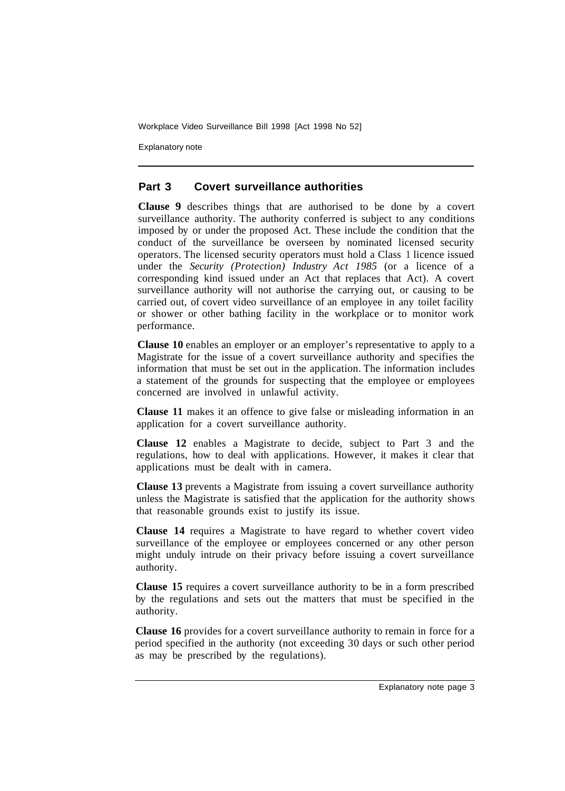Explanatory note

#### **Part 3 Covert surveillance authorities**

**Clause 9** describes things that are authorised to be done by a covert surveillance authority. The authority conferred is subject to any conditions imposed by or under the proposed Act. These include the condition that the conduct of the surveillance be overseen by nominated licensed security operators. The licensed security operators must hold a Class 1 licence issued under the *Security (Protection) Industry Act 1985* (or a licence of a corresponding kind issued under an Act that replaces that Act). A covert surveillance authority will not authorise the carrying out, or causing to be carried out, of covert video surveillance of an employee in any toilet facility or shower or other bathing facility in the workplace or to monitor work performance.

**Clause 10** enables an employer or an employer's representative to apply to a Magistrate for the issue of a covert surveillance authority and specifies the information that must be set out in the application. The information includes a statement of the grounds for suspecting that the employee or employees concerned are involved in unlawful activity.

**Clause 11** makes it an offence to give false or misleading information in an application for a covert surveillance authority.

**Clause 12** enables a Magistrate to decide, subject to Part 3 and the regulations, how to deal with applications. However, it makes it clear that applications must be dealt with in camera.

**Clause 13** prevents a Magistrate from issuing a covert surveillance authority unless the Magistrate is satisfied that the application for the authority shows that reasonable grounds exist to justify its issue.

**Clause 14** requires a Magistrate to have regard to whether covert video surveillance of the employee or employees concerned or any other person might unduly intrude on their privacy before issuing a covert surveillance authority.

**Clause 15** requires a covert surveillance authority to be in a form prescribed by the regulations and sets out the matters that must be specified in the authority.

**Clause 16** provides for a covert surveillance authority to remain in force for a period specified in the authority (not exceeding 30 days or such other period as may be prescribed by the regulations).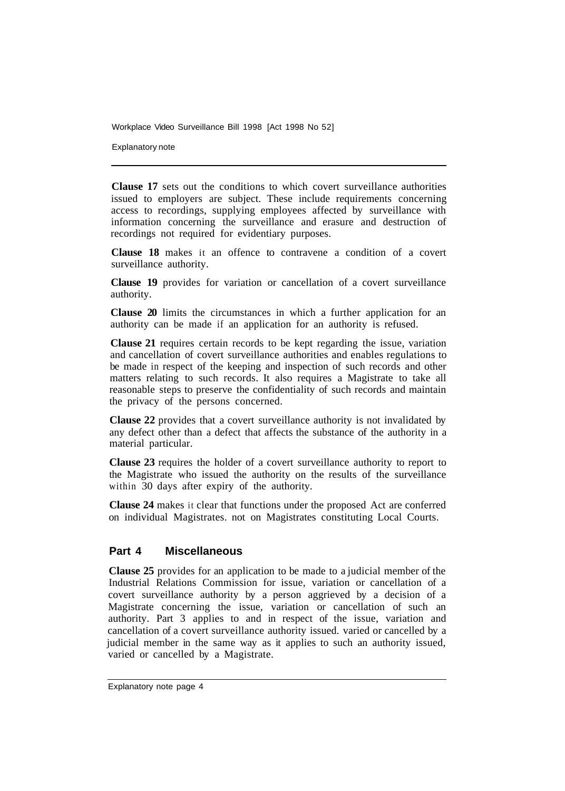Explanatory note

**Clause 17** sets out the conditions to which covert surveillance authorities issued to employers are subject. These include requirements concerning access to recordings, supplying employees affected by surveillance with information concerning the surveillance and erasure and destruction of recordings not required for evidentiary purposes.

**Clause 18** makes it an offence to contravene a condition of a covert surveillance authority.

**Clause 19** provides for variation or cancellation of a covert surveillance authority.

**Clause 20** limits the circumstances in which a further application for an authority can be made if an application for an authority is refused.

**Clause 21** requires certain records to be kept regarding the issue, variation and cancellation of covert surveillance authorities and enables regulations to be made in respect of the keeping and inspection of such records and other matters relating to such records. It also requires a Magistrate to take all reasonable steps to preserve the confidentiality of such records and maintain the privacy of the persons concerned.

**Clause 22** provides that a covert surveillance authority is not invalidated by any defect other than a defect that affects the substance of the authority in a material particular.

**Clause 23** requires the holder of a covert surveillance authority to report to the Magistrate who issued the authority on the results of the surveillance within 30 days after expiry of the authority.

**Clause 24** makes it clear that functions under the proposed Act are conferred on individual Magistrates. not on Magistrates constituting Local Courts.

#### **Part 4 Miscellaneous**

**Clause 25** provides for an application to be made to a judicial member of the Industrial Relations Commission for issue, variation or cancellation of a covert surveillance authority by a person aggrieved by a decision of a Magistrate concerning the issue, variation or cancellation of such an authority. Part 3 applies to and in respect of the issue, variation and cancellation of a covert surveillance authority issued. varied or cancelled by a judicial member in the same way as it applies to such an authority issued, varied or cancelled by a Magistrate.

Explanatory note page 4